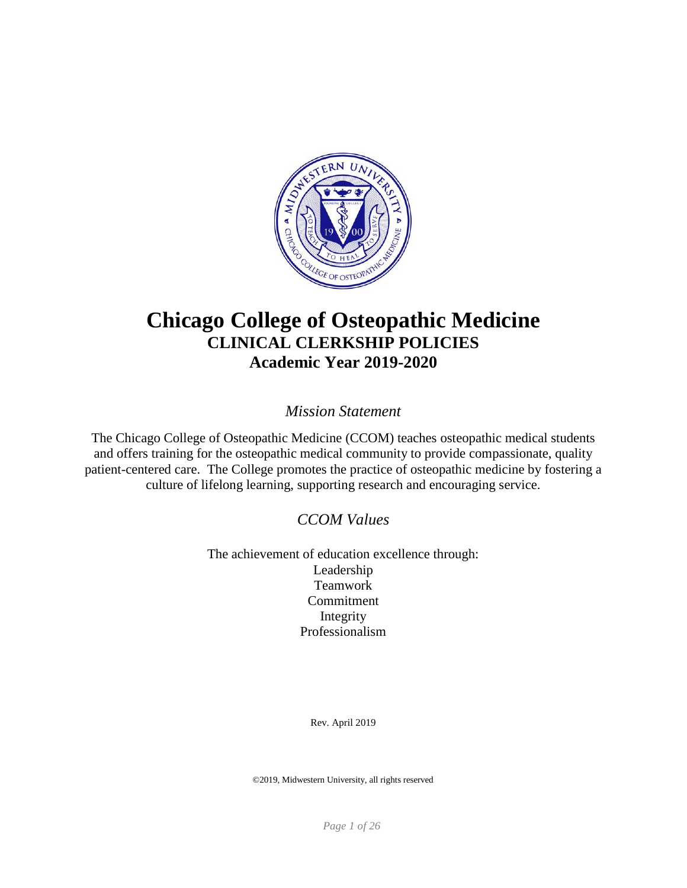

# **Chicago College of Osteopathic Medicine CLINICAL CLERKSHIP POLICIES Academic Year 2019-2020**

*Mission Statement*

The Chicago College of Osteopathic Medicine (CCOM) teaches osteopathic medical students and offers training for the osteopathic medical community to provide compassionate, quality patient-centered care. The College promotes the practice of osteopathic medicine by fostering a culture of lifelong learning, supporting research and encouraging service.

## *CCOM Values*

The achievement of education excellence through: Leadership Teamwork Commitment Integrity Professionalism

Rev. April 2019

©2019, Midwestern University, all rights reserved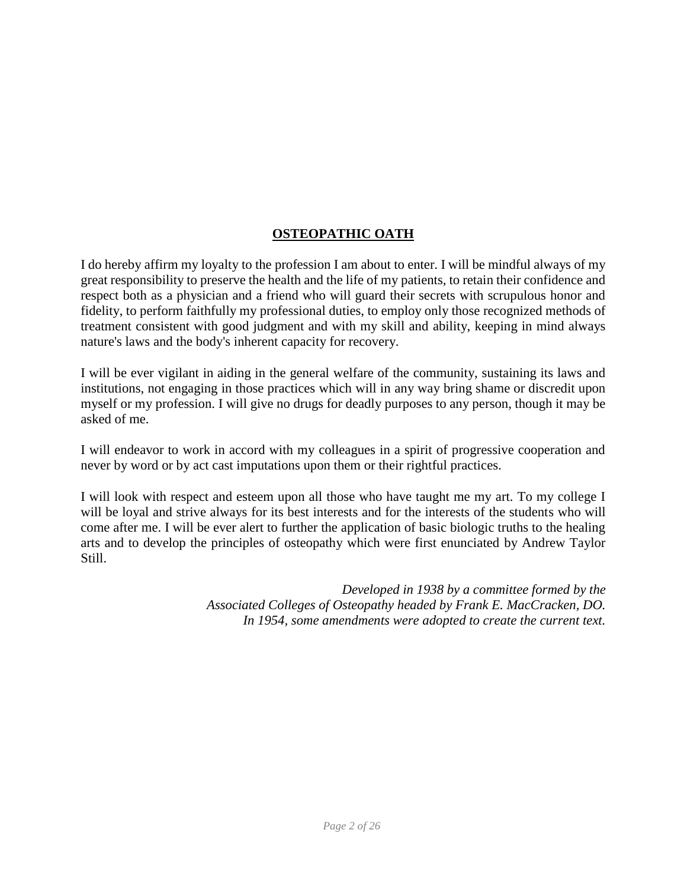## **OSTEOPATHIC OATH**

I do hereby affirm my loyalty to the profession I am about to enter. I will be mindful always of my great responsibility to preserve the health and the life of my patients, to retain their confidence and respect both as a physician and a friend who will guard their secrets with scrupulous honor and fidelity, to perform faithfully my professional duties, to employ only those recognized methods of treatment consistent with good judgment and with my skill and ability, keeping in mind always nature's laws and the body's inherent capacity for recovery.

I will be ever vigilant in aiding in the general welfare of the community, sustaining its laws and institutions, not engaging in those practices which will in any way bring shame or discredit upon myself or my profession. I will give no drugs for deadly purposes to any person, though it may be asked of me.

I will endeavor to work in accord with my colleagues in a spirit of progressive cooperation and never by word or by act cast imputations upon them or their rightful practices.

I will look with respect and esteem upon all those who have taught me my art. To my college I will be loyal and strive always for its best interests and for the interests of the students who will come after me. I will be ever alert to further the application of basic biologic truths to the healing arts and to develop the principles of osteopathy which were first enunciated by Andrew Taylor Still.

> *Developed in 1938 by a committee formed by the Associated Colleges of Osteopathy headed by Frank E. MacCracken, DO. In 1954, some amendments were adopted to create the current text.*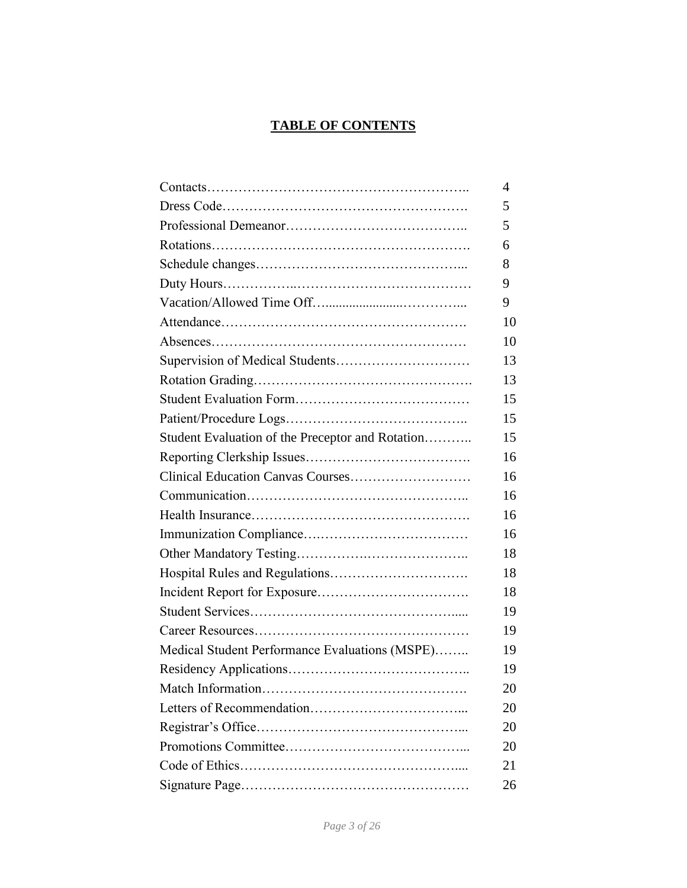## **TABLE OF CONTENTS**

|                                                  | 4  |
|--------------------------------------------------|----|
|                                                  | 5  |
|                                                  | 5  |
|                                                  | 6  |
|                                                  | 8  |
|                                                  | 9  |
|                                                  | 9  |
|                                                  | 10 |
|                                                  | 10 |
|                                                  | 13 |
|                                                  | 13 |
|                                                  | 15 |
|                                                  | 15 |
| Student Evaluation of the Preceptor and Rotation | 15 |
|                                                  | 16 |
|                                                  | 16 |
|                                                  | 16 |
|                                                  | 16 |
|                                                  | 16 |
|                                                  | 18 |
|                                                  | 18 |
|                                                  | 18 |
|                                                  | 19 |
|                                                  | 19 |
| Medical Student Performance Evaluations (MSPE)   | 19 |
|                                                  | 19 |
|                                                  | 20 |
|                                                  | 20 |
|                                                  | 20 |
|                                                  | 20 |
|                                                  | 21 |
|                                                  | 26 |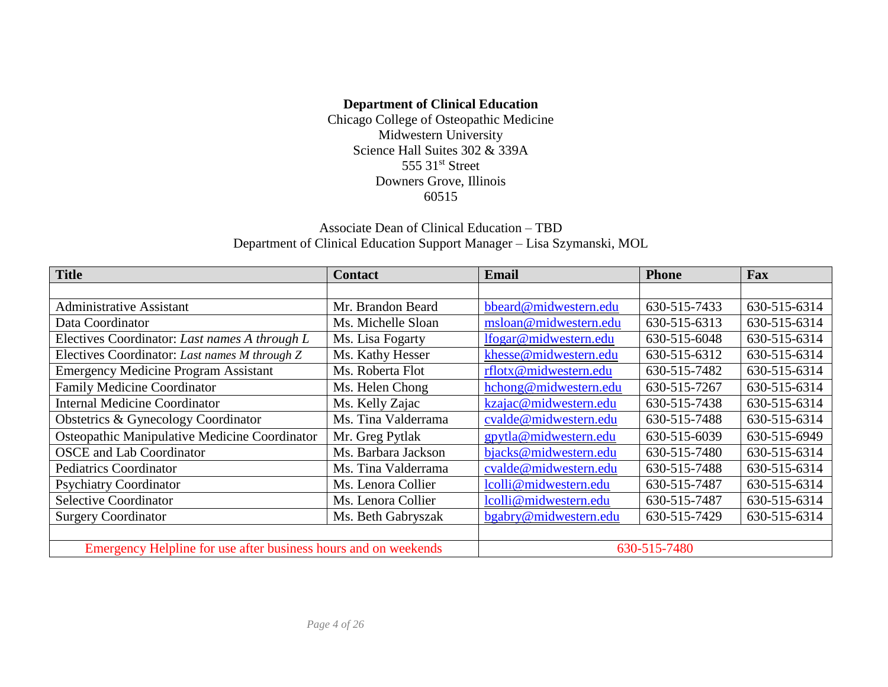#### **Department of Clinical Education**

Chicago College of Osteopathic Medicine Midwestern University Science Hall Suites 302 & 339A 555 31<sup>st</sup> Street Downers Grove, Illinois 60515

### Associate Dean of Clinical Education – TBD Department of Clinical Education Support Manager – Lisa Szymanski, MOL

| <b>Title</b>                                                    | <b>Contact</b>      | <b>Email</b>          | <b>Phone</b> | Fax          |
|-----------------------------------------------------------------|---------------------|-----------------------|--------------|--------------|
|                                                                 |                     |                       |              |              |
| <b>Administrative Assistant</b>                                 | Mr. Brandon Beard   | bbeard@midwestern.edu | 630-515-7433 | 630-515-6314 |
| Data Coordinator                                                | Ms. Michelle Sloan  | msloan@midwestern.edu | 630-515-6313 | 630-515-6314 |
| Electives Coordinator: Last names A through L                   | Ms. Lisa Fogarty    | lfogar@midwestern.edu | 630-515-6048 | 630-515-6314 |
| Electives Coordinator: Last names M through Z                   | Ms. Kathy Hesser    | khesse@midwestern.edu | 630-515-6312 | 630-515-6314 |
| <b>Emergency Medicine Program Assistant</b>                     | Ms. Roberta Flot    | rflotx@midwestern.edu | 630-515-7482 | 630-515-6314 |
| <b>Family Medicine Coordinator</b>                              | Ms. Helen Chong     | hchong@midwestern.edu | 630-515-7267 | 630-515-6314 |
| <b>Internal Medicine Coordinator</b>                            | Ms. Kelly Zajac     | kzając@midwestern.edu | 630-515-7438 | 630-515-6314 |
| Obstetrics & Gynecology Coordinator                             | Ms. Tina Valderrama | cvalde@midwestern.edu | 630-515-7488 | 630-515-6314 |
| Osteopathic Manipulative Medicine Coordinator                   | Mr. Greg Pytlak     | gpytla@midwestern.edu | 630-515-6039 | 630-515-6949 |
| <b>OSCE</b> and Lab Coordinator                                 | Ms. Barbara Jackson | bjacks@midwestern.edu | 630-515-7480 | 630-515-6314 |
| <b>Pediatrics Coordinator</b>                                   | Ms. Tina Valderrama | cvalde@midwestern.edu | 630-515-7488 | 630-515-6314 |
| <b>Psychiatry Coordinator</b>                                   | Ms. Lenora Collier  | lcolli@midwestern.edu | 630-515-7487 | 630-515-6314 |
| <b>Selective Coordinator</b>                                    | Ms. Lenora Collier  | lcolli@midwestern.edu | 630-515-7487 | 630-515-6314 |
| <b>Surgery Coordinator</b>                                      | Ms. Beth Gabryszak  | bgabry@midwestern.edu | 630-515-7429 | 630-515-6314 |
|                                                                 |                     |                       |              |              |
| Emergency Helpline for use after business hours and on weekends |                     |                       | 630-515-7480 |              |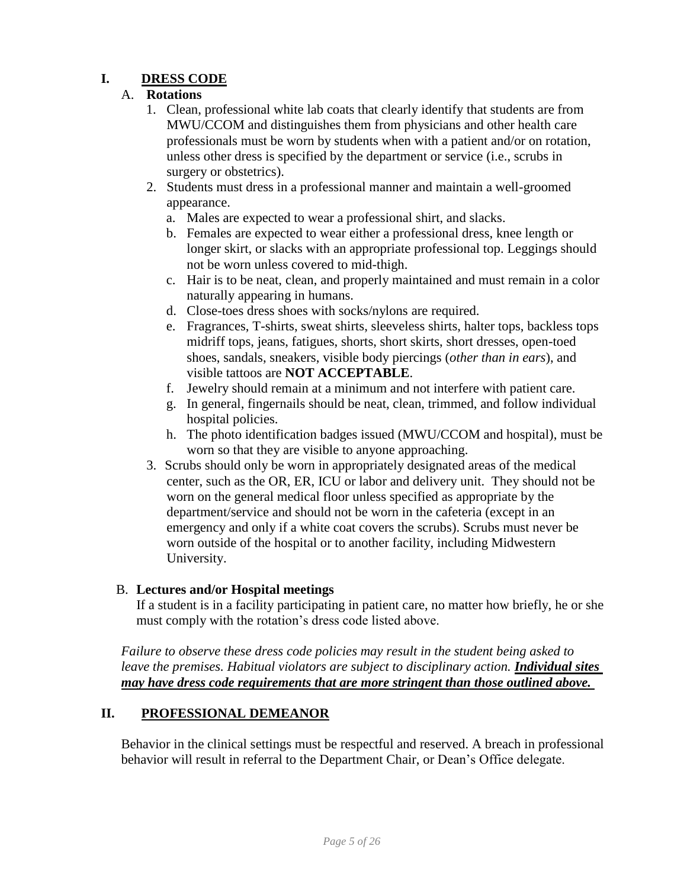## **I. DRESS CODE**

## A. **Rotations**

- 1. Clean, professional white lab coats that clearly identify that students are from MWU/CCOM and distinguishes them from physicians and other health care professionals must be worn by students when with a patient and/or on rotation, unless other dress is specified by the department or service (i.e., scrubs in surgery or obstetrics).
- 2. Students must dress in a professional manner and maintain a well-groomed appearance.
	- a. Males are expected to wear a professional shirt, and slacks.
	- b. Females are expected to wear either a professional dress, knee length or longer skirt, or slacks with an appropriate professional top. Leggings should not be worn unless covered to mid-thigh.
	- c. Hair is to be neat, clean, and properly maintained and must remain in a color naturally appearing in humans.
	- d. Close-toes dress shoes with socks/nylons are required.
	- e. Fragrances, T-shirts, sweat shirts, sleeveless shirts, halter tops, backless tops midriff tops, jeans, fatigues, shorts, short skirts, short dresses, open-toed shoes, sandals, sneakers, visible body piercings (*other than in ears*), and visible tattoos are **NOT ACCEPTABLE**.
	- f. Jewelry should remain at a minimum and not interfere with patient care.
	- g. In general, fingernails should be neat, clean, trimmed, and follow individual hospital policies.
	- h. The photo identification badges issued (MWU/CCOM and hospital), must be worn so that they are visible to anyone approaching.
- 3. Scrubs should only be worn in appropriately designated areas of the medical center, such as the OR, ER, ICU or labor and delivery unit. They should not be worn on the general medical floor unless specified as appropriate by the department/service and should not be worn in the cafeteria (except in an emergency and only if a white coat covers the scrubs). Scrubs must never be worn outside of the hospital or to another facility, including Midwestern University.

#### B. **Lectures and/or Hospital meetings**

If a student is in a facility participating in patient care, no matter how briefly, he or she must comply with the rotation's dress code listed above.

*Failure to observe these dress code policies may result in the student being asked to leave the premises. Habitual violators are subject to disciplinary action. Individual sites may have dress code requirements that are more stringent than those outlined above.* 

## **II. PROFESSIONAL DEMEANOR**

Behavior in the clinical settings must be respectful and reserved. A breach in professional behavior will result in referral to the Department Chair, or Dean's Office delegate.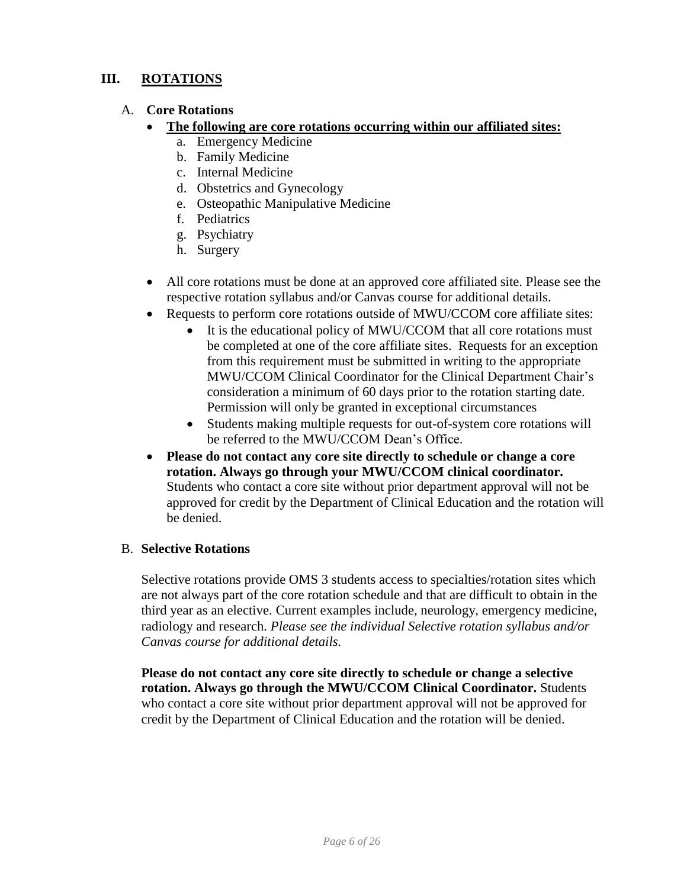## **III. ROTATIONS**

- A. **Core Rotations**
	- **The following are core rotations occurring within our affiliated sites:**
		- a. Emergency Medicine
		- b. Family Medicine
		- c. Internal Medicine
		- d. Obstetrics and Gynecology
		- e. Osteopathic Manipulative Medicine
		- f. Pediatrics
		- g. Psychiatry
		- h. Surgery
	- All core rotations must be done at an approved core affiliated site. Please see the respective rotation syllabus and/or Canvas course for additional details.
	- Requests to perform core rotations outside of MWU/CCOM core affiliate sites:
		- It is the educational policy of MWU/CCOM that all core rotations must be completed at one of the core affiliate sites. Requests for an exception from this requirement must be submitted in writing to the appropriate MWU/CCOM Clinical Coordinator for the Clinical Department Chair's consideration a minimum of 60 days prior to the rotation starting date. Permission will only be granted in exceptional circumstances
		- Students making multiple requests for out-of-system core rotations will be referred to the MWU/CCOM Dean's Office.
	- **Please do not contact any core site directly to schedule or change a core rotation. Always go through your MWU/CCOM clinical coordinator.** Students who contact a core site without prior department approval will not be approved for credit by the Department of Clinical Education and the rotation will be denied.

#### B. **Selective Rotations**

Selective rotations provide OMS 3 students access to specialties/rotation sites which are not always part of the core rotation schedule and that are difficult to obtain in the third year as an elective. Current examples include, neurology, emergency medicine, radiology and research. *Please see the individual Selective rotation syllabus and/or Canvas course for additional details.*

**Please do not contact any core site directly to schedule or change a selective rotation. Always go through the MWU/CCOM Clinical Coordinator.** Students who contact a core site without prior department approval will not be approved for credit by the Department of Clinical Education and the rotation will be denied.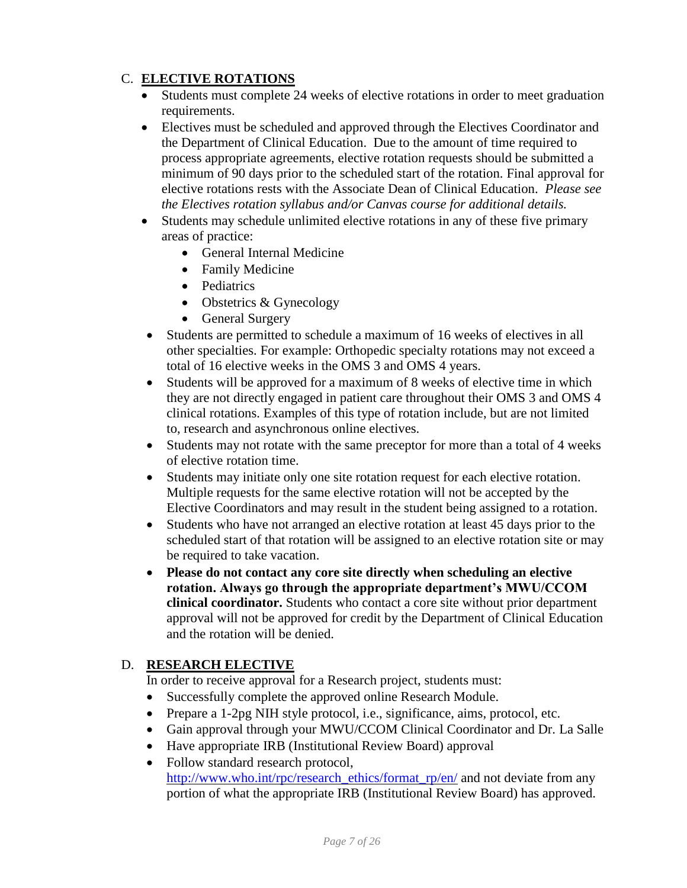## C. **ELECTIVE ROTATIONS**

- Students must complete 24 weeks of elective rotations in order to meet graduation requirements.
- Electives must be scheduled and approved through the Electives Coordinator and the Department of Clinical Education. Due to the amount of time required to process appropriate agreements, elective rotation requests should be submitted a minimum of 90 days prior to the scheduled start of the rotation. Final approval for elective rotations rests with the Associate Dean of Clinical Education. *Please see the Electives rotation syllabus and/or Canvas course for additional details.*
- Students may schedule unlimited elective rotations in any of these five primary areas of practice:
	- General Internal Medicine
	- Family Medicine
	- Pediatrics
	- Obstetrics & Gynecology
	- General Surgery
- Students are permitted to schedule a maximum of 16 weeks of electives in all other specialties. For example: Orthopedic specialty rotations may not exceed a total of 16 elective weeks in the OMS 3 and OMS 4 years.
- Students will be approved for a maximum of 8 weeks of elective time in which they are not directly engaged in patient care throughout their OMS 3 and OMS 4 clinical rotations. Examples of this type of rotation include, but are not limited to, research and asynchronous online electives.
- Students may not rotate with the same preceptor for more than a total of 4 weeks of elective rotation time.
- Students may initiate only one site rotation request for each elective rotation. Multiple requests for the same elective rotation will not be accepted by the Elective Coordinators and may result in the student being assigned to a rotation.
- Students who have not arranged an elective rotation at least 45 days prior to the scheduled start of that rotation will be assigned to an elective rotation site or may be required to take vacation.
- **Please do not contact any core site directly when scheduling an elective rotation. Always go through the appropriate department's MWU/CCOM clinical coordinator.** Students who contact a core site without prior department approval will not be approved for credit by the Department of Clinical Education and the rotation will be denied.

## D. **RESEARCH ELECTIVE**

In order to receive approval for a Research project, students must:

- Successfully complete the approved online Research Module.
- Prepare a 1-2pg NIH style protocol, i.e., significance, aims, protocol, etc.
- Gain approval through your MWU/CCOM Clinical Coordinator and Dr. La Salle
- Have appropriate IRB (Institutional Review Board) approval
- Follow standard research protocol, [http://www.who.int/rpc/research\\_ethics/format\\_rp/en/](http://www.who.int/rpc/research_ethics/format_rp/en/) and not deviate from any portion of what the appropriate IRB (Institutional Review Board) has approved.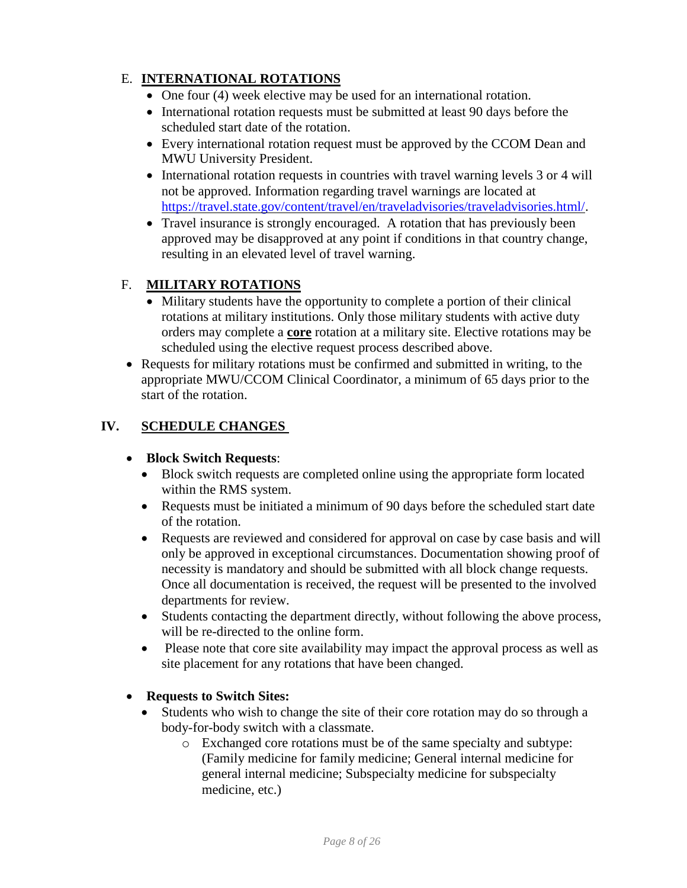## E. **INTERNATIONAL ROTATIONS**

- One four (4) week elective may be used for an international rotation.
- International rotation requests must be submitted at least 90 days before the scheduled start date of the rotation.
- Every international rotation request must be approved by the CCOM Dean and MWU University President.
- International rotation requests in countries with travel warning levels 3 or 4 will not be approved. Information regarding travel warnings are located at [https://travel.state.gov/content/travel/en/traveladvisories/traveladvisories.html/.](https://travel.state.gov/content/travel/en/traveladvisories/traveladvisories.html/)
- Travel insurance is strongly encouraged. A rotation that has previously been approved may be disapproved at any point if conditions in that country change, resulting in an elevated level of travel warning.

## F. **MILITARY ROTATIONS**

- Military students have the opportunity to complete a portion of their clinical rotations at military institutions. Only those military students with active duty orders may complete a **core** rotation at a military site. Elective rotations may be scheduled using the elective request process described above.
- Requests for military rotations must be confirmed and submitted in writing, to the appropriate MWU/CCOM Clinical Coordinator, a minimum of 65 days prior to the start of the rotation.

## **IV. SCHEDULE CHANGES**

## **Block Switch Requests**:

- Block switch requests are completed online using the appropriate form located within the RMS system.
- Requests must be initiated a minimum of 90 days before the scheduled start date of the rotation.
- Requests are reviewed and considered for approval on case by case basis and will only be approved in exceptional circumstances. Documentation showing proof of necessity is mandatory and should be submitted with all block change requests. Once all documentation is received, the request will be presented to the involved departments for review.
- Students contacting the department directly, without following the above process, will be re-directed to the online form.
- Please note that core site availability may impact the approval process as well as site placement for any rotations that have been changed.

## **Requests to Switch Sites:**

- Students who wish to change the site of their core rotation may do so through a body-for-body switch with a classmate.
	- o Exchanged core rotations must be of the same specialty and subtype: (Family medicine for family medicine; General internal medicine for general internal medicine; Subspecialty medicine for subspecialty medicine, etc.)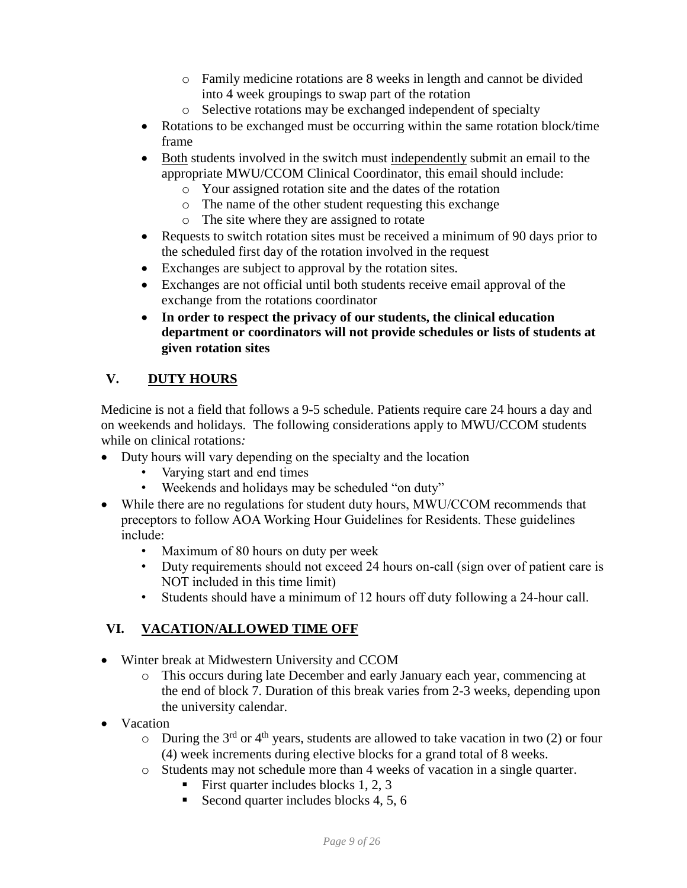- o Family medicine rotations are 8 weeks in length and cannot be divided into 4 week groupings to swap part of the rotation
- o Selective rotations may be exchanged independent of specialty
- Rotations to be exchanged must be occurring within the same rotation block/time frame
- Both students involved in the switch must independently submit an email to the appropriate MWU/CCOM Clinical Coordinator, this email should include:
	- o Your assigned rotation site and the dates of the rotation
	- o The name of the other student requesting this exchange
	- o The site where they are assigned to rotate
- Requests to switch rotation sites must be received a minimum of 90 days prior to the scheduled first day of the rotation involved in the request
- Exchanges are subject to approval by the rotation sites.
- Exchanges are not official until both students receive email approval of the exchange from the rotations coordinator
- **In order to respect the privacy of our students, the clinical education department or coordinators will not provide schedules or lists of students at given rotation sites**

## **V. DUTY HOURS**

Medicine is not a field that follows a 9-5 schedule. Patients require care 24 hours a day and on weekends and holidays. The following considerations apply to MWU/CCOM students while on clinical rotations*:*

- Duty hours will vary depending on the specialty and the location
	- Varying start and end times
	- Weekends and holidays may be scheduled "on duty"
- While there are no regulations for student duty hours, MWU/CCOM recommends that preceptors to follow AOA Working Hour Guidelines for Residents. These guidelines include:
	- Maximum of 80 hours on duty per week
	- Duty requirements should not exceed 24 hours on-call (sign over of patient care is NOT included in this time limit)
	- Students should have a minimum of 12 hours off duty following a 24-hour call.

## **VI. VACATION/ALLOWED TIME OFF**

- Winter break at Midwestern University and CCOM
	- o This occurs during late December and early January each year, commencing at the end of block 7. Duration of this break varies from 2-3 weeks, depending upon the university calendar.
- Vacation
	- $\circ$  During the 3<sup>rd</sup> or 4<sup>th</sup> years, students are allowed to take vacation in two (2) or four (4) week increments during elective blocks for a grand total of 8 weeks.
	- o Students may not schedule more than 4 weeks of vacation in a single quarter.
		- First quarter includes blocks  $1, 2, 3$
		- Second quarter includes blocks  $4, 5, 6$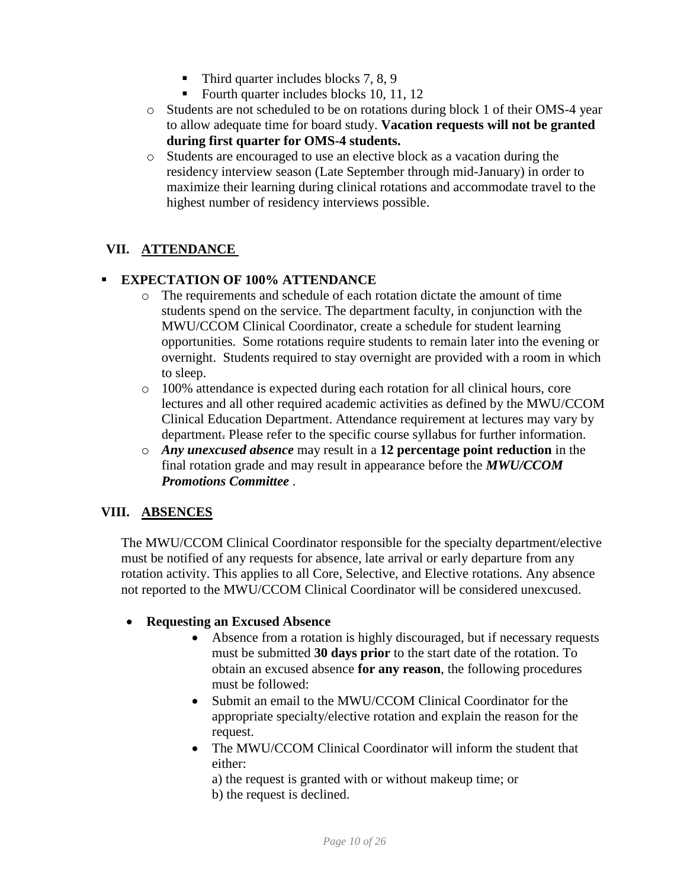- Third quarter includes blocks 7, 8, 9
- Fourth quarter includes blocks 10, 11, 12
- o Students are not scheduled to be on rotations during block 1 of their OMS-4 year to allow adequate time for board study. **Vacation requests will not be granted during first quarter for OMS-4 students.**
- o Students are encouraged to use an elective block as a vacation during the residency interview season (Late September through mid-January) in order to maximize their learning during clinical rotations and accommodate travel to the highest number of residency interviews possible.

## **VII. ATTENDANCE**

#### **EXPECTATION OF 100% ATTENDANCE**

- o The requirements and schedule of each rotation dictate the amount of time students spend on the service. The department faculty, in conjunction with the MWU/CCOM Clinical Coordinator, create a schedule for student learning opportunities. Some rotations require students to remain later into the evening or overnight. Students required to stay overnight are provided with a room in which to sleep.
- o 100% attendance is expected during each rotation for all clinical hours, core lectures and all other required academic activities as defined by the MWU/CCOM Clinical Education Department. Attendance requirement at lectures may vary by department. Please refer to the specific course syllabus for further information.
- o *Any unexcused absence* may result in a **12 percentage point reduction** in the final rotation grade and may result in appearance before the *MWU/CCOM Promotions Committee* .

#### **VIII. ABSENCES**

The MWU/CCOM Clinical Coordinator responsible for the specialty department/elective must be notified of any requests for absence, late arrival or early departure from any rotation activity. This applies to all Core, Selective, and Elective rotations. Any absence not reported to the MWU/CCOM Clinical Coordinator will be considered unexcused.

#### **Requesting an Excused Absence**

- Absence from a rotation is highly discouraged, but if necessary requests must be submitted **30 days prior** to the start date of the rotation. To obtain an excused absence **for any reason**, the following procedures must be followed:
- Submit an email to the MWU/CCOM Clinical Coordinator for the appropriate specialty/elective rotation and explain the reason for the request.
- The MWU/CCOM Clinical Coordinator will inform the student that either:

a) the request is granted with or without makeup time; or b) the request is declined.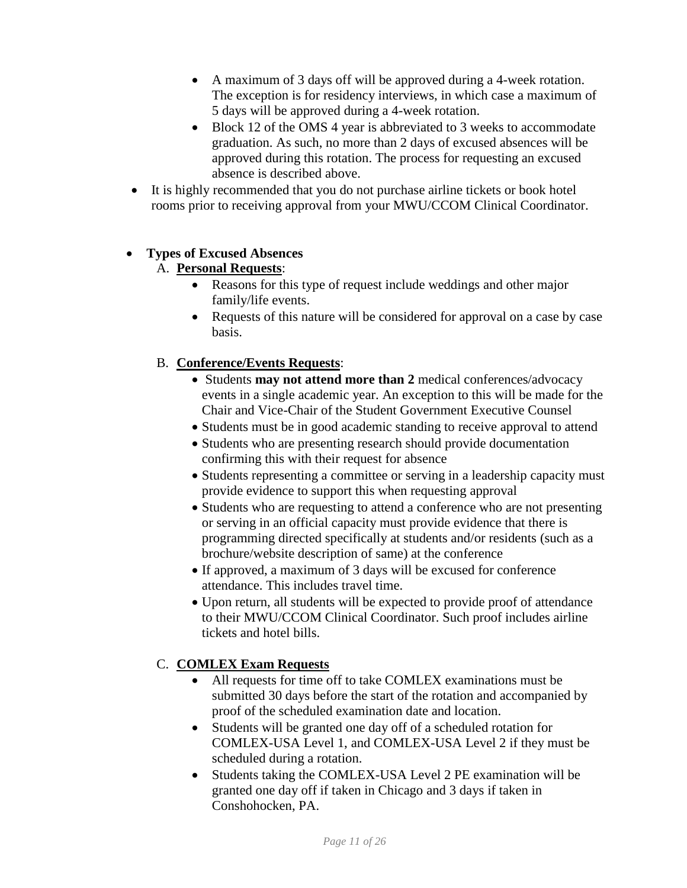- A maximum of 3 days off will be approved during a 4-week rotation. The exception is for residency interviews, in which case a maximum of 5 days will be approved during a 4-week rotation.
- Block 12 of the OMS 4 year is abbreviated to 3 weeks to accommodate graduation. As such, no more than 2 days of excused absences will be approved during this rotation. The process for requesting an excused absence is described above.
- It is highly recommended that you do not purchase airline tickets or book hotel rooms prior to receiving approval from your MWU/CCOM Clinical Coordinator.

## **Types of Excused Absences**

## A. **Personal Requests**:

- Reasons for this type of request include weddings and other major family/life events.
- Requests of this nature will be considered for approval on a case by case basis.

### B. **Conference/Events Requests**:

- Students **may not attend more than 2** medical conferences/advocacy events in a single academic year. An exception to this will be made for the Chair and Vice-Chair of the Student Government Executive Counsel
- Students must be in good academic standing to receive approval to attend
- Students who are presenting research should provide documentation confirming this with their request for absence
- Students representing a committee or serving in a leadership capacity must provide evidence to support this when requesting approval
- Students who are requesting to attend a conference who are not presenting or serving in an official capacity must provide evidence that there is programming directed specifically at students and/or residents (such as a brochure/website description of same) at the conference
- If approved, a maximum of 3 days will be excused for conference attendance. This includes travel time.
- Upon return, all students will be expected to provide proof of attendance to their MWU/CCOM Clinical Coordinator. Such proof includes airline tickets and hotel bills.

## C. **COMLEX Exam Requests**

- All requests for time off to take COMLEX examinations must be submitted 30 days before the start of the rotation and accompanied by proof of the scheduled examination date and location.
- Students will be granted one day off of a scheduled rotation for COMLEX-USA Level 1, and COMLEX-USA Level 2 if they must be scheduled during a rotation.
- Students taking the COMLEX-USA Level 2 PE examination will be granted one day off if taken in Chicago and 3 days if taken in Conshohocken, PA.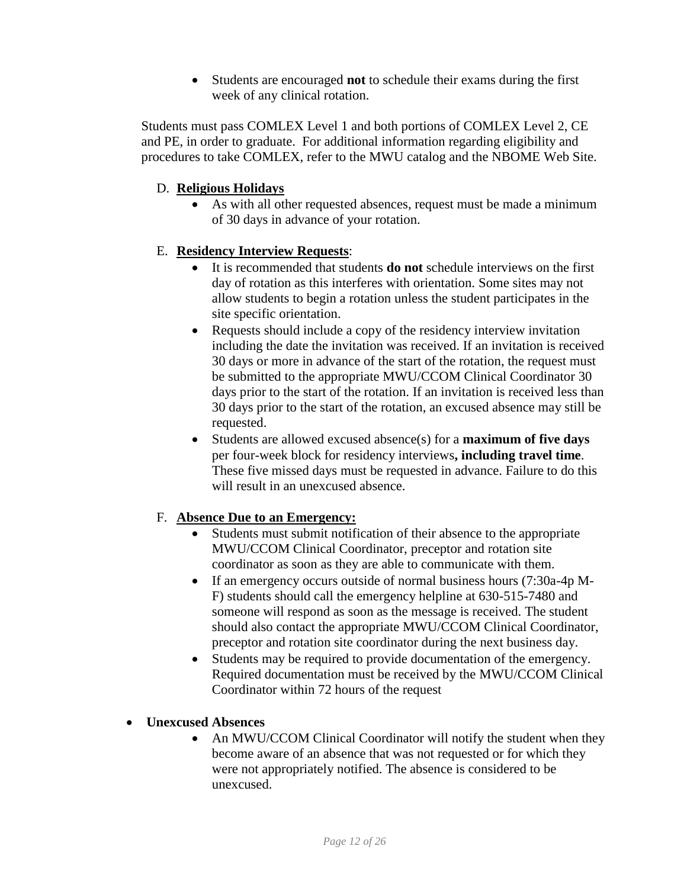Students are encouraged **not** to schedule their exams during the first week of any clinical rotation.

Students must pass COMLEX Level 1 and both portions of COMLEX Level 2, CE and PE, in order to graduate. For additional information regarding eligibility and procedures to take COMLEX, refer to the MWU catalog and the NBOME Web Site.

#### D. **Religious Holidays**

 As with all other requested absences, request must be made a minimum of 30 days in advance of your rotation.

#### E. **Residency Interview Requests**:

- It is recommended that students **do not** schedule interviews on the first day of rotation as this interferes with orientation. Some sites may not allow students to begin a rotation unless the student participates in the site specific orientation.
- Requests should include a copy of the residency interview invitation including the date the invitation was received. If an invitation is received 30 days or more in advance of the start of the rotation, the request must be submitted to the appropriate MWU/CCOM Clinical Coordinator 30 days prior to the start of the rotation. If an invitation is received less than 30 days prior to the start of the rotation, an excused absence may still be requested.
- Students are allowed excused absence(s) for a **maximum of five days** per four-week block for residency interviews**, including travel time**. These five missed days must be requested in advance. Failure to do this will result in an unexcused absence.

#### F. **Absence Due to an Emergency:**

- Students must submit notification of their absence to the appropriate MWU/CCOM Clinical Coordinator, preceptor and rotation site coordinator as soon as they are able to communicate with them.
- If an emergency occurs outside of normal business hours (7:30a-4p M-F) students should call the emergency helpline at 630-515-7480 and someone will respond as soon as the message is received. The student should also contact the appropriate MWU/CCOM Clinical Coordinator, preceptor and rotation site coordinator during the next business day.
- Students may be required to provide documentation of the emergency. Required documentation must be received by the MWU/CCOM Clinical Coordinator within 72 hours of the request

#### **Unexcused Absences**

• An MWU/CCOM Clinical Coordinator will notify the student when they become aware of an absence that was not requested or for which they were not appropriately notified. The absence is considered to be unexcused.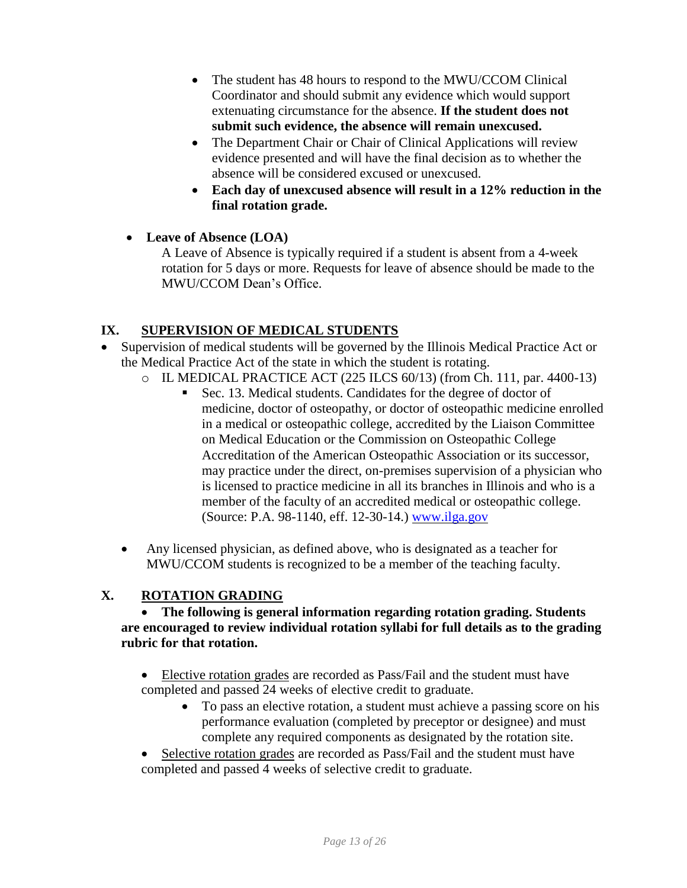- The student has 48 hours to respond to the MWU/CCOM Clinical Coordinator and should submit any evidence which would support extenuating circumstance for the absence. **If the student does not submit such evidence, the absence will remain unexcused.**
- The Department Chair or Chair of Clinical Applications will review evidence presented and will have the final decision as to whether the absence will be considered excused or unexcused.
- **Each day of unexcused absence will result in a 12% reduction in the final rotation grade.**
- **Leave of Absence (LOA)**

A Leave of Absence is typically required if a student is absent from a 4-week rotation for 5 days or more. Requests for leave of absence should be made to the MWU/CCOM Dean's Office.

## **IX. SUPERVISION OF MEDICAL STUDENTS**

- Supervision of medical students will be governed by the Illinois Medical Practice Act or the Medical Practice Act of the state in which the student is rotating.
	- $O$  IL MEDICAL PRACTICE ACT (225 ILCS 60/13) (from Ch. 111, par. 4400-13)
		- Sec. 13. Medical students. Candidates for the degree of doctor of medicine, doctor of osteopathy, or doctor of osteopathic medicine enrolled in a medical or osteopathic college, accredited by the Liaison Committee on Medical Education or the Commission on Osteopathic College Accreditation of the American Osteopathic Association or its successor, may practice under the direct, on-premises supervision of a physician who is licensed to practice medicine in all its branches in Illinois and who is a member of the faculty of an accredited medical or osteopathic college. (Source: P.A. 98-1140, eff. 12-30-14.) [www.ilga.gov](http://www.ilga.gov/)
	- Any licensed physician, as defined above, who is designated as a teacher for MWU/CCOM students is recognized to be a member of the teaching faculty.

## **X. ROTATION GRADING**

#### **The following is general information regarding rotation grading. Students are encouraged to review individual rotation syllabi for full details as to the grading rubric for that rotation.**

 Elective rotation grades are recorded as Pass/Fail and the student must have completed and passed 24 weeks of elective credit to graduate.

- To pass an elective rotation, a student must achieve a passing score on his performance evaluation (completed by preceptor or designee) and must complete any required components as designated by the rotation site.
- Selective rotation grades are recorded as Pass/Fail and the student must have completed and passed 4 weeks of selective credit to graduate.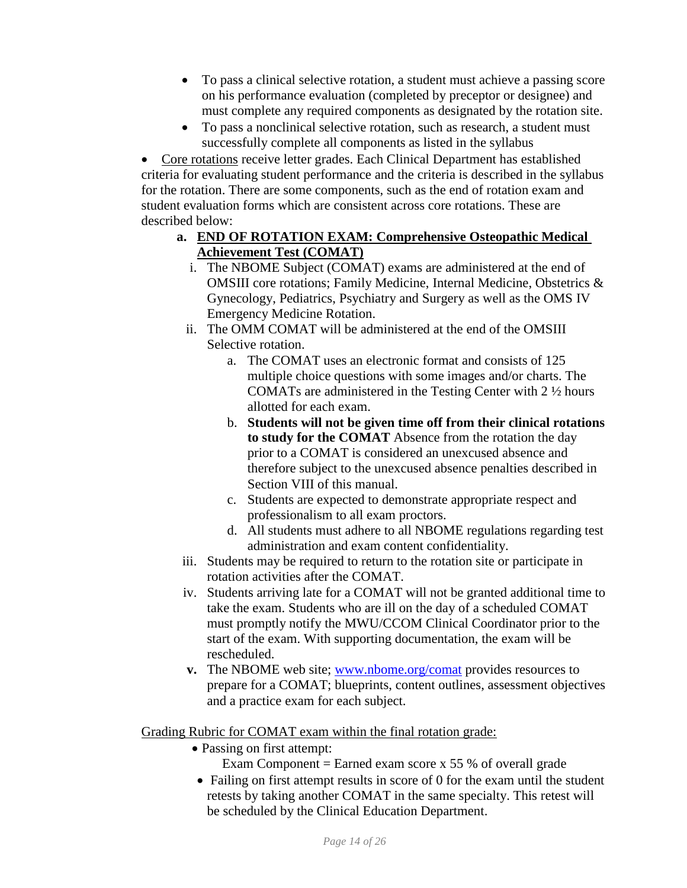- To pass a clinical selective rotation, a student must achieve a passing score on his performance evaluation (completed by preceptor or designee) and must complete any required components as designated by the rotation site.
- To pass a nonclinical selective rotation, such as research, a student must successfully complete all components as listed in the syllabus

 Core rotations receive letter grades. Each Clinical Department has established criteria for evaluating student performance and the criteria is described in the syllabus for the rotation. There are some components, such as the end of rotation exam and student evaluation forms which are consistent across core rotations. These are described below:

- **a. END OF ROTATION EXAM: Comprehensive Osteopathic Medical Achievement Test (COMAT)**
	- i. The NBOME Subject (COMAT) exams are administered at the end of OMSIII core rotations; Family Medicine, Internal Medicine, Obstetrics & Gynecology, Pediatrics, Psychiatry and Surgery as well as the OMS IV Emergency Medicine Rotation.
	- ii. The OMM COMAT will be administered at the end of the OMSIII Selective rotation.
		- a. The COMAT uses an electronic format and consists of 125 multiple choice questions with some images and/or charts. The COMATs are administered in the Testing Center with 2 ½ hours allotted for each exam.
		- b. **Students will not be given time off from their clinical rotations to study for the COMAT** Absence from the rotation the day prior to a COMAT is considered an unexcused absence and therefore subject to the unexcused absence penalties described in Section VIII of this manual.
		- c. Students are expected to demonstrate appropriate respect and professionalism to all exam proctors.
		- d. All students must adhere to all NBOME regulations regarding test administration and exam content confidentiality.
- iii. Students may be required to return to the rotation site or participate in rotation activities after the COMAT.
- iv. Students arriving late for a COMAT will not be granted additional time to take the exam. Students who are ill on the day of a scheduled COMAT must promptly notify the MWU/CCOM Clinical Coordinator prior to the start of the exam. With supporting documentation, the exam will be rescheduled.
- **v.** The NBOME web site; [www.nbome.org/comat](http://www.nbome.org/comat) provides resources to prepare for a COMAT; blueprints, content outlines, assessment objectives and a practice exam for each subject.

Grading Rubric for COMAT exam within the final rotation grade:

- Passing on first attempt:
	- Exam Component = Earned exam score  $x$  55 % of overall grade
- Failing on first attempt results in score of 0 for the exam until the student retests by taking another COMAT in the same specialty. This retest will be scheduled by the Clinical Education Department.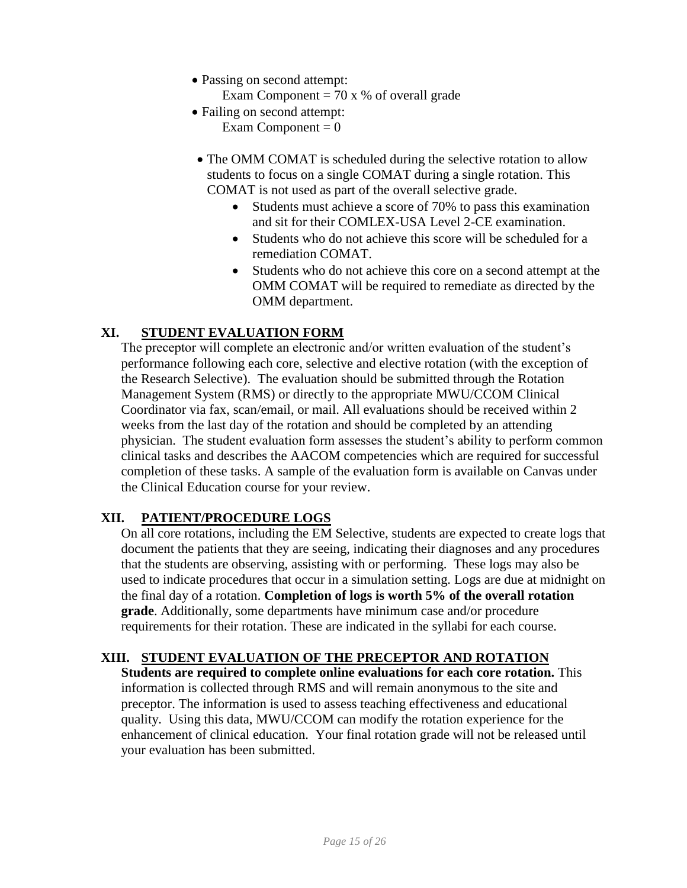- Passing on second attempt: Exam Component  $= 70 \times %$  of overall grade
- Failing on second attempt: Exam Component  $= 0$
- The OMM COMAT is scheduled during the selective rotation to allow students to focus on a single COMAT during a single rotation. This COMAT is not used as part of the overall selective grade.
	- Students must achieve a score of 70% to pass this examination and sit for their COMLEX-USA Level 2-CE examination.
	- Students who do not achieve this score will be scheduled for a remediation COMAT.
	- Students who do not achieve this core on a second attempt at the OMM COMAT will be required to remediate as directed by the OMM department.

## **XI. STUDENT EVALUATION FORM**

The preceptor will complete an electronic and/or written evaluation of the student's performance following each core, selective and elective rotation (with the exception of the Research Selective). The evaluation should be submitted through the Rotation Management System (RMS) or directly to the appropriate MWU/CCOM Clinical Coordinator via fax, scan/email, or mail. All evaluations should be received within 2 weeks from the last day of the rotation and should be completed by an attending physician. The student evaluation form assesses the student's ability to perform common clinical tasks and describes the AACOM competencies which are required for successful completion of these tasks. A sample of the evaluation form is available on Canvas under the Clinical Education course for your review.

## **XII. PATIENT/PROCEDURE LOGS**

On all core rotations, including the EM Selective, students are expected to create logs that document the patients that they are seeing, indicating their diagnoses and any procedures that the students are observing, assisting with or performing. These logs may also be used to indicate procedures that occur in a simulation setting. Logs are due at midnight on the final day of a rotation. **Completion of logs is worth 5% of the overall rotation grade**. Additionally, some departments have minimum case and/or procedure requirements for their rotation. These are indicated in the syllabi for each course.

## **XIII. STUDENT EVALUATION OF THE PRECEPTOR AND ROTATION**

**Students are required to complete online evaluations for each core rotation.** This information is collected through RMS and will remain anonymous to the site and preceptor. The information is used to assess teaching effectiveness and educational quality. Using this data, MWU/CCOM can modify the rotation experience for the enhancement of clinical education. Your final rotation grade will not be released until your evaluation has been submitted.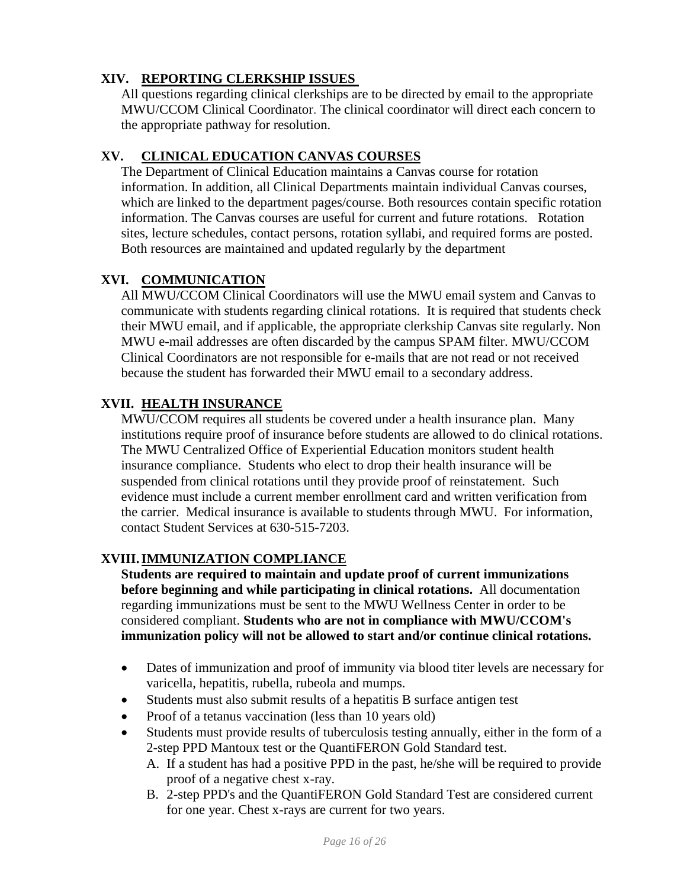## **XIV. REPORTING CLERKSHIP ISSUES**

All questions regarding clinical clerkships are to be directed by email to the appropriate MWU/CCOM Clinical Coordinator. The clinical coordinator will direct each concern to the appropriate pathway for resolution.

#### **XV. CLINICAL EDUCATION CANVAS COURSES**

The Department of Clinical Education maintains a Canvas course for rotation information. In addition, all Clinical Departments maintain individual Canvas courses, which are linked to the department pages/course. Both resources contain specific rotation information. The Canvas courses are useful for current and future rotations. Rotation sites, lecture schedules, contact persons, rotation syllabi, and required forms are posted. Both resources are maintained and updated regularly by the department

#### **XVI. COMMUNICATION**

All MWU/CCOM Clinical Coordinators will use the MWU email system and Canvas to communicate with students regarding clinical rotations. It is required that students check their MWU email, and if applicable, the appropriate clerkship Canvas site regularly. Non MWU e-mail addresses are often discarded by the campus SPAM filter. MWU/CCOM Clinical Coordinators are not responsible for e-mails that are not read or not received because the student has forwarded their MWU email to a secondary address.

### **XVII. HEALTH INSURANCE**

MWU/CCOM requires all students be covered under a health insurance plan. Many institutions require proof of insurance before students are allowed to do clinical rotations. The MWU Centralized Office of Experiential Education monitors student health insurance compliance. Students who elect to drop their health insurance will be suspended from clinical rotations until they provide proof of reinstatement. Such evidence must include a current member enrollment card and written verification from the carrier. Medical insurance is available to students through MWU. For information, contact Student Services at 630-515-7203.

#### **XVIII.IMMUNIZATION COMPLIANCE**

**Students are required to maintain and update proof of current immunizations before beginning and while participating in clinical rotations.** All documentation regarding immunizations must be sent to the MWU Wellness Center in order to be considered compliant. **Students who are not in compliance with MWU/CCOM's immunization policy will not be allowed to start and/or continue clinical rotations.**

- Dates of immunization and proof of immunity via blood titer levels are necessary for varicella, hepatitis, rubella, rubeola and mumps.
- Students must also submit results of a hepatitis B surface antigen test
- Proof of a tetanus vaccination (less than 10 years old)
- Students must provide results of tuberculosis testing annually, either in the form of a 2-step PPD Mantoux test or the QuantiFERON Gold Standard test.
	- A. If a student has had a positive PPD in the past, he/she will be required to provide proof of a negative chest x-ray.
	- B. 2-step PPD's and the QuantiFERON Gold Standard Test are considered current for one year. Chest x-rays are current for two years.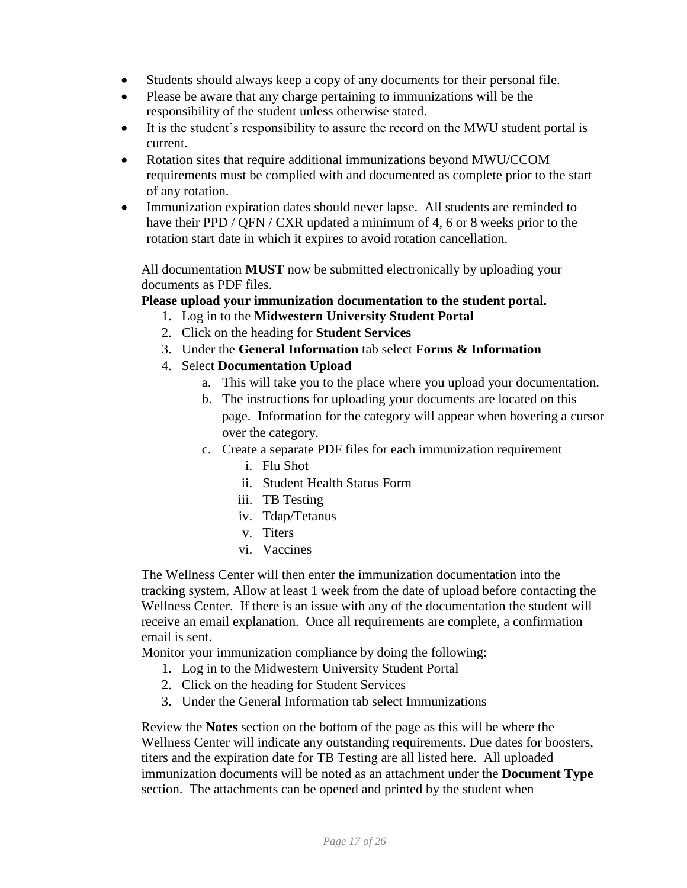- Students should always keep a copy of any documents for their personal file.
- Please be aware that any charge pertaining to immunizations will be the responsibility of the student unless otherwise stated.
- It is the student's responsibility to assure the record on the MWU student portal is current.
- Rotation sites that require additional immunizations beyond MWU/CCOM requirements must be complied with and documented as complete prior to the start of any rotation.
- Immunization expiration dates should never lapse. All students are reminded to have their PPD / QFN / CXR updated a minimum of 4, 6 or 8 weeks prior to the rotation start date in which it expires to avoid rotation cancellation.

All documentation **MUST** now be submitted electronically by uploading your documents as PDF files.

#### **Please upload your immunization documentation to the student portal.**

- 1. Log in to the **Midwestern University Student Portal**
- 2. Click on the heading for **Student Services**
- 3. Under the **General Information** tab select **Forms & Information**
- 4. Select **Documentation Upload**
	- a. This will take you to the place where you upload your documentation.
	- b. The instructions for uploading your documents are located on this page. Information for the category will appear when hovering a cursor over the category.
	- c. Create a separate PDF files for each immunization requirement
		- i. Flu Shot
		- ii. Student Health Status Form
		- iii. TB Testing
		- iv. Tdap/Tetanus
		- v. Titers
		- vi. Vaccines

The Wellness Center will then enter the immunization documentation into the tracking system. Allow at least 1 week from the date of upload before contacting the Wellness Center. If there is an issue with any of the documentation the student will receive an email explanation. Once all requirements are complete, a confirmation email is sent.

Monitor your immunization compliance by doing the following:

- 1. Log in to the Midwestern University Student Portal
- 2. Click on the heading for Student Services
- 3. Under the General Information tab select Immunizations

Review the **Notes** section on the bottom of the page as this will be where the Wellness Center will indicate any outstanding requirements. Due dates for boosters, titers and the expiration date for TB Testing are all listed here. All uploaded immunization documents will be noted as an attachment under the **Document Type** section. The attachments can be opened and printed by the student when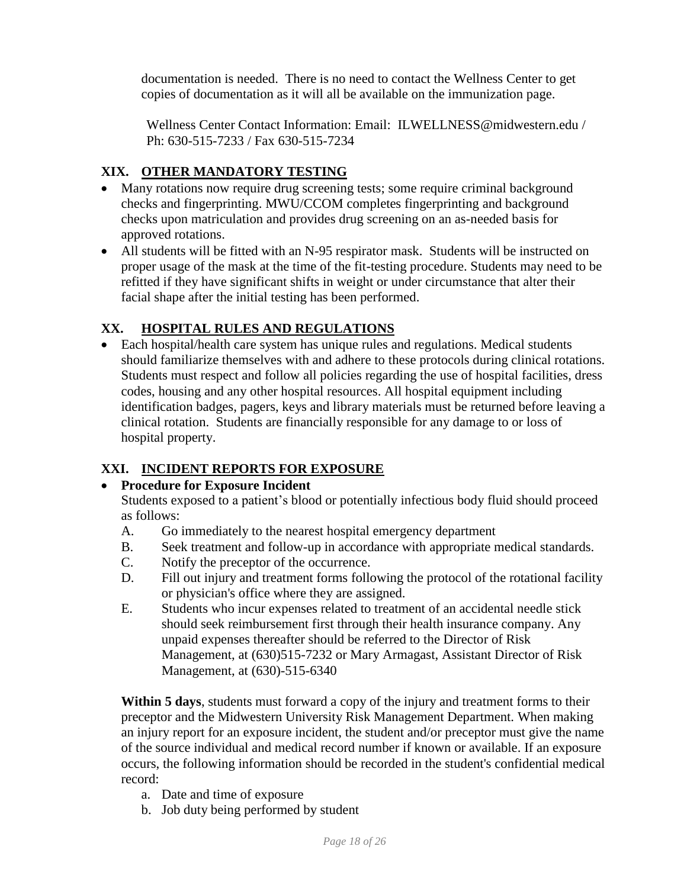documentation is needed. There is no need to contact the Wellness Center to get copies of documentation as it will all be available on the immunization page.

Wellness Center Contact Information: Email: ILWELLNESS@midwestern.edu / Ph: 630-515-7233 / Fax 630-515-7234

## **XIX. OTHER MANDATORY TESTING**

- Many rotations now require drug screening tests; some require criminal background checks and fingerprinting. MWU/CCOM completes fingerprinting and background checks upon matriculation and provides drug screening on an as-needed basis for approved rotations.
- All students will be fitted with an N-95 respirator mask. Students will be instructed on proper usage of the mask at the time of the fit-testing procedure. Students may need to be refitted if they have significant shifts in weight or under circumstance that alter their facial shape after the initial testing has been performed.

## **XX. HOSPITAL RULES AND REGULATIONS**

 Each hospital/health care system has unique rules and regulations. Medical students should familiarize themselves with and adhere to these protocols during clinical rotations. Students must respect and follow all policies regarding the use of hospital facilities, dress codes, housing and any other hospital resources. All hospital equipment including identification badges, pagers, keys and library materials must be returned before leaving a clinical rotation. Students are financially responsible for any damage to or loss of hospital property.

## **XXI. INCIDENT REPORTS FOR EXPOSURE**

## **Procedure for Exposure Incident**

Students exposed to a patient's blood or potentially infectious body fluid should proceed as follows:

- A. Go immediately to the nearest hospital emergency department
- B. Seek treatment and follow-up in accordance with appropriate medical standards.
- C. Notify the preceptor of the occurrence.
- D. Fill out injury and treatment forms following the protocol of the rotational facility or physician's office where they are assigned.
- E. Students who incur expenses related to treatment of an accidental needle stick should seek reimbursement first through their health insurance company. Any unpaid expenses thereafter should be referred to the Director of Risk Management, at (630)515-7232 or Mary Armagast, Assistant Director of Risk Management, at (630)-515-6340

**Within 5 days**, students must forward a copy of the injury and treatment forms to their preceptor and the Midwestern University Risk Management Department. When making an injury report for an exposure incident, the student and/or preceptor must give the name of the source individual and medical record number if known or available. If an exposure occurs, the following information should be recorded in the student's confidential medical record:

- a. Date and time of exposure
- b. Job duty being performed by student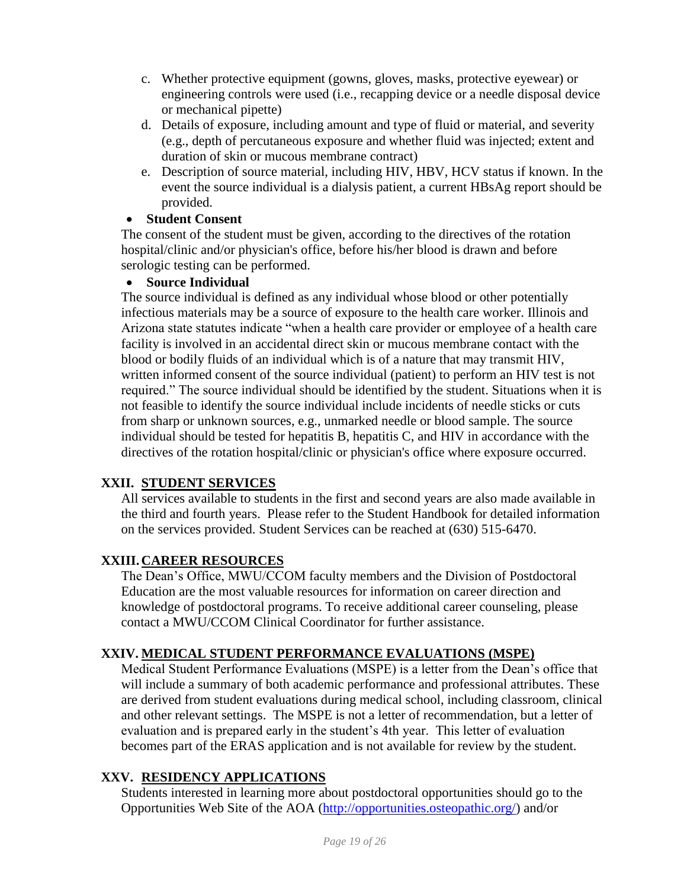- c. Whether protective equipment (gowns, gloves, masks, protective eyewear) or engineering controls were used (i.e., recapping device or a needle disposal device or mechanical pipette)
- d. Details of exposure, including amount and type of fluid or material, and severity (e.g., depth of percutaneous exposure and whether fluid was injected; extent and duration of skin or mucous membrane contract)
- e. Description of source material, including HIV, HBV, HCV status if known. In the event the source individual is a dialysis patient, a current HBsAg report should be provided.

#### **Student Consent**

The consent of the student must be given, according to the directives of the rotation hospital/clinic and/or physician's office, before his/her blood is drawn and before serologic testing can be performed.

#### **Source Individual**

The source individual is defined as any individual whose blood or other potentially infectious materials may be a source of exposure to the health care worker. Illinois and Arizona state statutes indicate "when a health care provider or employee of a health care facility is involved in an accidental direct skin or mucous membrane contact with the blood or bodily fluids of an individual which is of a nature that may transmit HIV, written informed consent of the source individual (patient) to perform an HIV test is not required." The source individual should be identified by the student. Situations when it is not feasible to identify the source individual include incidents of needle sticks or cuts from sharp or unknown sources, e.g., unmarked needle or blood sample. The source individual should be tested for hepatitis B, hepatitis C, and HIV in accordance with the directives of the rotation hospital/clinic or physician's office where exposure occurred.

#### **XXII. STUDENT SERVICES**

All services available to students in the first and second years are also made available in the third and fourth years. Please refer to the Student Handbook for detailed information on the services provided. Student Services can be reached at (630) 515-6470.

#### **XXIII.CAREER RESOURCES**

The Dean's Office, MWU/CCOM faculty members and the Division of Postdoctoral Education are the most valuable resources for information on career direction and knowledge of postdoctoral programs. To receive additional career counseling, please contact a MWU/CCOM Clinical Coordinator for further assistance.

#### **XXIV. MEDICAL STUDENT PERFORMANCE EVALUATIONS (MSPE)**

Medical Student Performance Evaluations (MSPE) is a letter from the Dean's office that will include a summary of both academic performance and professional attributes. These are derived from student evaluations during medical school, including classroom, clinical and other relevant settings. The MSPE is not a letter of recommendation, but a letter of evaluation and is prepared early in the student's 4th year. This letter of evaluation becomes part of the ERAS application and is not available for review by the student.

#### **XXV. RESIDENCY APPLICATIONS**

Students interested in learning more about postdoctoral opportunities should go to the Opportunities Web Site of the AOA [\(http://opportunities.osteopathic.org/\)](http://opportunities.osteopathic.org/) and/or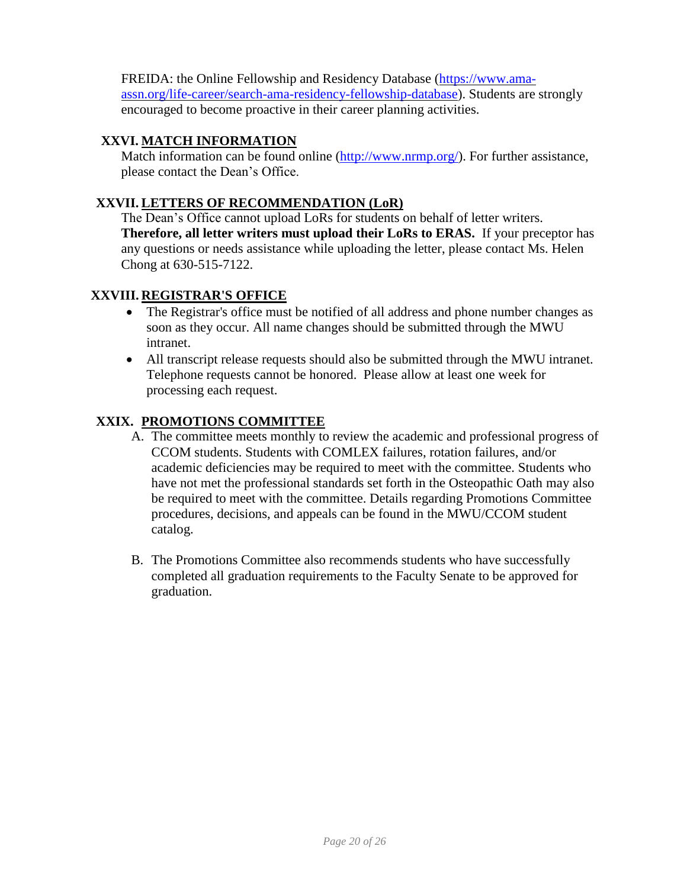FREIDA: the Online Fellowship and Residency Database [\(https://www.ama](https://www.ama-assn.org/life-career/search-ama-residency-fellowship-database)[assn.org/life-career/search-ama-residency-fellowship-database\)](https://www.ama-assn.org/life-career/search-ama-residency-fellowship-database). Students are strongly encouraged to become proactive in their career planning activities.

### **XXVI. MATCH INFORMATION**

Match information can be found online [\(http://www.nrmp.org/\)](http://www.nrmp.org/). For further assistance, please contact the Dean's Office.

#### **XXVII. LETTERS OF RECOMMENDATION (LoR)**

The Dean's Office cannot upload LoRs for students on behalf of letter writers. **Therefore, all letter writers must upload their LoRs to ERAS.** If your preceptor has any questions or needs assistance while uploading the letter, please contact Ms. Helen Chong at 630-515-7122.

#### **XXVIII. REGISTRAR'S OFFICE**

- The Registrar's office must be notified of all address and phone number changes as soon as they occur. All name changes should be submitted through the MWU intranet.
- All transcript release requests should also be submitted through the MWU intranet. Telephone requests cannot be honored. Please allow at least one week for processing each request.

### **XXIX. PROMOTIONS COMMITTEE**

- A. The committee meets monthly to review the academic and professional progress of CCOM students. Students with COMLEX failures, rotation failures, and/or academic deficiencies may be required to meet with the committee. Students who have not met the professional standards set forth in the Osteopathic Oath may also be required to meet with the committee. Details regarding Promotions Committee procedures, decisions, and appeals can be found in the MWU/CCOM student catalog.
- B. The Promotions Committee also recommends students who have successfully completed all graduation requirements to the Faculty Senate to be approved for graduation.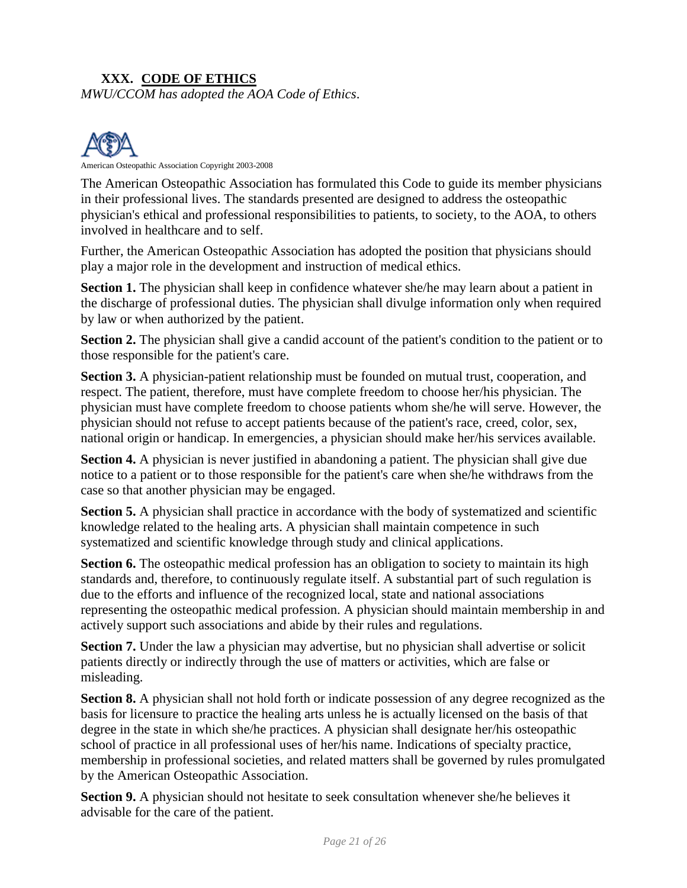## **XXX. CODE OF ETHICS** *MWU/CCOM has adopted the AOA Code of Ethics*.



The American Osteopathic Association has formulated this Code to guide its member physicians in their professional lives. The standards presented are designed to address the osteopathic physician's ethical and professional responsibilities to patients, to society, to the AOA, to others involved in healthcare and to self.

Further, the American Osteopathic Association has adopted the position that physicians should play a major role in the development and instruction of medical ethics.

**Section 1.** The physician shall keep in confidence whatever she/he may learn about a patient in the discharge of professional duties. The physician shall divulge information only when required by law or when authorized by the patient.

**Section 2.** The physician shall give a candid account of the patient's condition to the patient or to those responsible for the patient's care.

**Section 3.** A physician-patient relationship must be founded on mutual trust, cooperation, and respect. The patient, therefore, must have complete freedom to choose her/his physician. The physician must have complete freedom to choose patients whom she/he will serve. However, the physician should not refuse to accept patients because of the patient's race, creed, color, sex, national origin or handicap. In emergencies, a physician should make her/his services available.

**Section 4.** A physician is never justified in abandoning a patient. The physician shall give due notice to a patient or to those responsible for the patient's care when she/he withdraws from the case so that another physician may be engaged.

**Section 5.** A physician shall practice in accordance with the body of systematized and scientific knowledge related to the healing arts. A physician shall maintain competence in such systematized and scientific knowledge through study and clinical applications.

**Section 6.** The osteopathic medical profession has an obligation to society to maintain its high standards and, therefore, to continuously regulate itself. A substantial part of such regulation is due to the efforts and influence of the recognized local, state and national associations representing the osteopathic medical profession. A physician should maintain membership in and actively support such associations and abide by their rules and regulations.

**Section 7.** Under the law a physician may advertise, but no physician shall advertise or solicit patients directly or indirectly through the use of matters or activities, which are false or misleading.

**Section 8.** A physician shall not hold forth or indicate possession of any degree recognized as the basis for licensure to practice the healing arts unless he is actually licensed on the basis of that degree in the state in which she/he practices. A physician shall designate her/his osteopathic school of practice in all professional uses of her/his name. Indications of specialty practice, membership in professional societies, and related matters shall be governed by rules promulgated by the American Osteopathic Association.

**Section 9.** A physician should not hesitate to seek consultation whenever she/he believes it advisable for the care of the patient.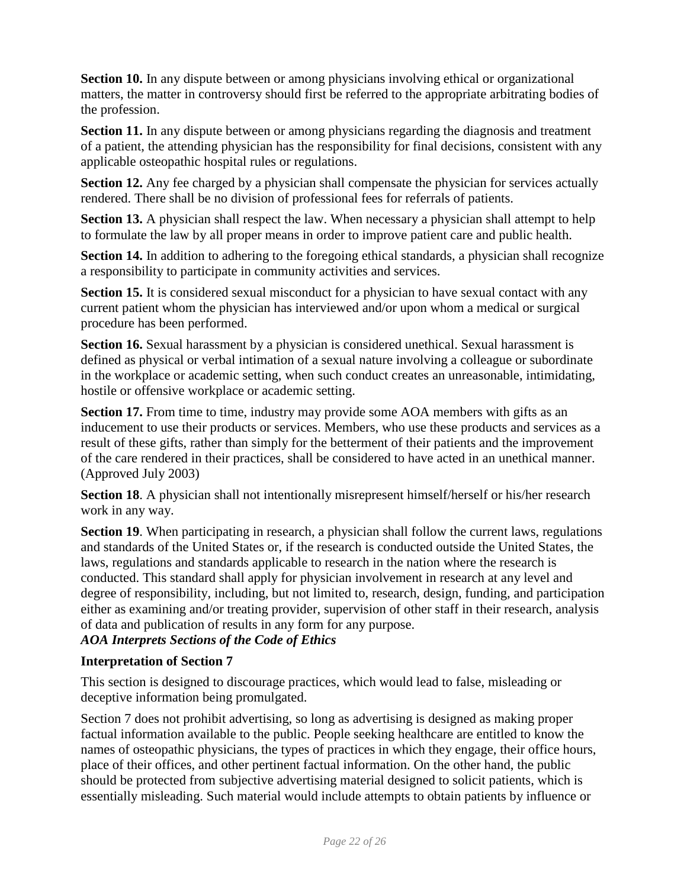**Section 10.** In any dispute between or among physicians involving ethical or organizational matters, the matter in controversy should first be referred to the appropriate arbitrating bodies of the profession.

**Section 11.** In any dispute between or among physicians regarding the diagnosis and treatment of a patient, the attending physician has the responsibility for final decisions, consistent with any applicable osteopathic hospital rules or regulations.

**Section 12.** Any fee charged by a physician shall compensate the physician for services actually rendered. There shall be no division of professional fees for referrals of patients.

**Section 13.** A physician shall respect the law. When necessary a physician shall attempt to help to formulate the law by all proper means in order to improve patient care and public health.

**Section 14.** In addition to adhering to the foregoing ethical standards, a physician shall recognize a responsibility to participate in community activities and services.

**Section 15.** It is considered sexual misconduct for a physician to have sexual contact with any current patient whom the physician has interviewed and/or upon whom a medical or surgical procedure has been performed.

**Section 16.** Sexual harassment by a physician is considered unethical. Sexual harassment is defined as physical or verbal intimation of a sexual nature involving a colleague or subordinate in the workplace or academic setting, when such conduct creates an unreasonable, intimidating, hostile or offensive workplace or academic setting.

**Section 17.** From time to time, industry may provide some AOA members with gifts as an inducement to use their products or services. Members, who use these products and services as a result of these gifts, rather than simply for the betterment of their patients and the improvement of the care rendered in their practices, shall be considered to have acted in an unethical manner. (Approved July 2003)

**Section 18.** A physician shall not intentionally misrepresent himself/herself or his/her research work in any way.

**Section 19.** When participating in research, a physician shall follow the current laws, regulations and standards of the United States or, if the research is conducted outside the United States, the laws, regulations and standards applicable to research in the nation where the research is conducted. This standard shall apply for physician involvement in research at any level and degree of responsibility, including, but not limited to, research, design, funding, and participation either as examining and/or treating provider, supervision of other staff in their research, analysis of data and publication of results in any form for any purpose.

## *AOA Interprets Sections of the Code of Ethics*

#### **Interpretation of Section 7**

This section is designed to discourage practices, which would lead to false, misleading or deceptive information being promulgated.

Section 7 does not prohibit advertising, so long as advertising is designed as making proper factual information available to the public. People seeking healthcare are entitled to know the names of osteopathic physicians, the types of practices in which they engage, their office hours, place of their offices, and other pertinent factual information. On the other hand, the public should be protected from subjective advertising material designed to solicit patients, which is essentially misleading. Such material would include attempts to obtain patients by influence or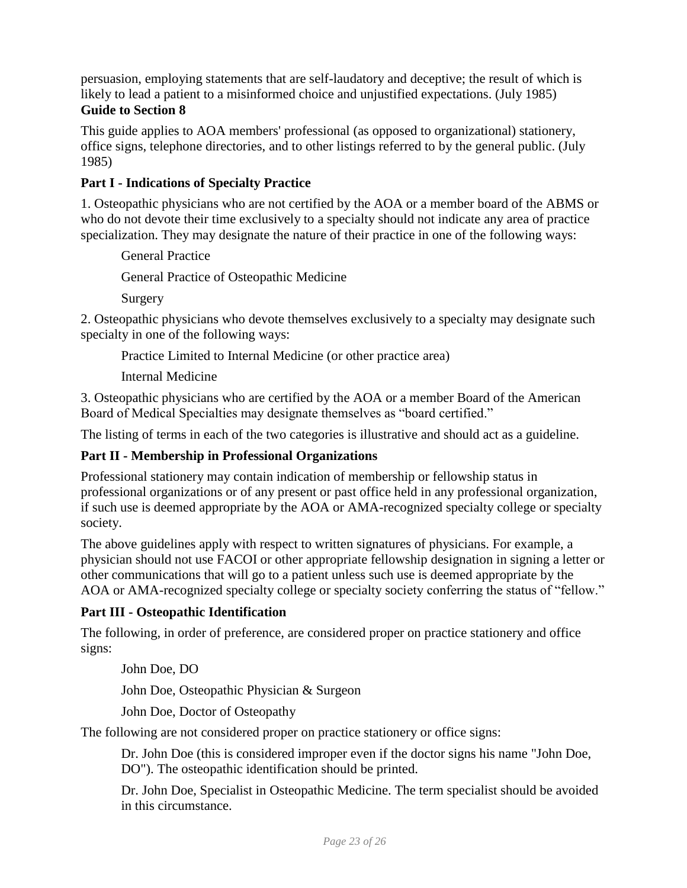persuasion, employing statements that are self-laudatory and deceptive; the result of which is likely to lead a patient to a misinformed choice and unjustified expectations. (July 1985) **Guide to Section 8**

This guide applies to AOA members' professional (as opposed to organizational) stationery, office signs, telephone directories, and to other listings referred to by the general public. (July 1985)

### **Part I - Indications of Specialty Practice**

1. Osteopathic physicians who are not certified by the AOA or a member board of the ABMS or who do not devote their time exclusively to a specialty should not indicate any area of practice specialization. They may designate the nature of their practice in one of the following ways:

General Practice General Practice of Osteopathic Medicine Surgery

2. Osteopathic physicians who devote themselves exclusively to a specialty may designate such specialty in one of the following ways:

Practice Limited to Internal Medicine (or other practice area)

Internal Medicine

3. Osteopathic physicians who are certified by the AOA or a member Board of the American Board of Medical Specialties may designate themselves as "board certified."

The listing of terms in each of the two categories is illustrative and should act as a guideline.

## **Part II - Membership in Professional Organizations**

Professional stationery may contain indication of membership or fellowship status in professional organizations or of any present or past office held in any professional organization, if such use is deemed appropriate by the AOA or AMA-recognized specialty college or specialty society.

The above guidelines apply with respect to written signatures of physicians. For example, a physician should not use FACOI or other appropriate fellowship designation in signing a letter or other communications that will go to a patient unless such use is deemed appropriate by the AOA or AMA-recognized specialty college or specialty society conferring the status of "fellow."

#### **Part III - Osteopathic Identification**

The following, in order of preference, are considered proper on practice stationery and office signs:

John Doe, DO

John Doe, Osteopathic Physician & Surgeon

John Doe, Doctor of Osteopathy

The following are not considered proper on practice stationery or office signs:

Dr. John Doe (this is considered improper even if the doctor signs his name "John Doe, DO"). The osteopathic identification should be printed.

Dr. John Doe, Specialist in Osteopathic Medicine. The term specialist should be avoided in this circumstance.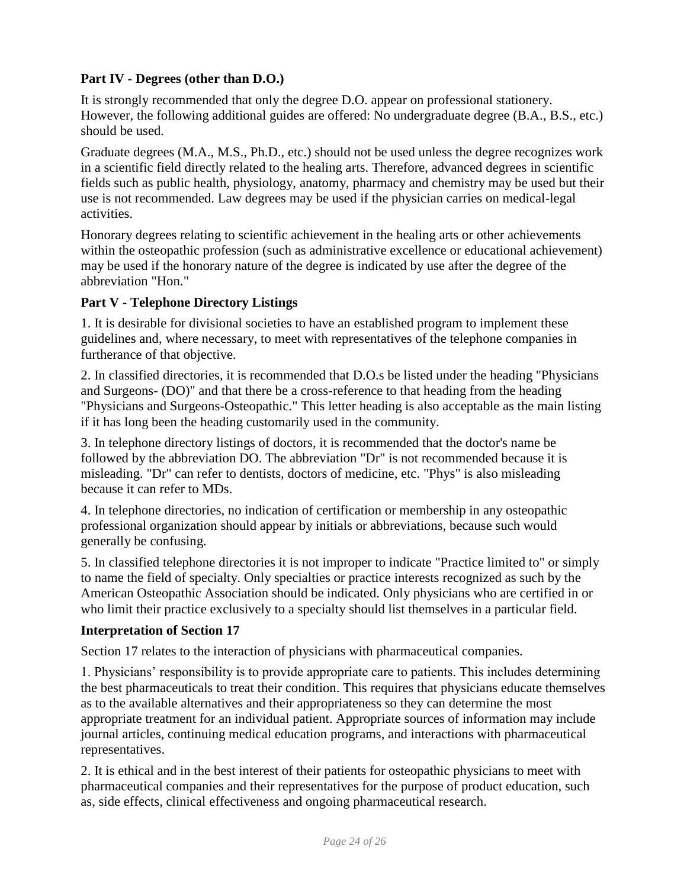### **Part IV - Degrees (other than D.O.)**

It is strongly recommended that only the degree D.O. appear on professional stationery. However, the following additional guides are offered: No undergraduate degree (B.A., B.S., etc.) should be used.

Graduate degrees (M.A., M.S., Ph.D., etc.) should not be used unless the degree recognizes work in a scientific field directly related to the healing arts. Therefore, advanced degrees in scientific fields such as public health, physiology, anatomy, pharmacy and chemistry may be used but their use is not recommended. Law degrees may be used if the physician carries on medical-legal activities.

Honorary degrees relating to scientific achievement in the healing arts or other achievements within the osteopathic profession (such as administrative excellence or educational achievement) may be used if the honorary nature of the degree is indicated by use after the degree of the abbreviation "Hon."

### **Part V - Telephone Directory Listings**

1. It is desirable for divisional societies to have an established program to implement these guidelines and, where necessary, to meet with representatives of the telephone companies in furtherance of that objective.

2. In classified directories, it is recommended that D.O.s be listed under the heading "Physicians and Surgeons- (DO)" and that there be a cross-reference to that heading from the heading "Physicians and Surgeons-Osteopathic." This letter heading is also acceptable as the main listing if it has long been the heading customarily used in the community.

3. In telephone directory listings of doctors, it is recommended that the doctor's name be followed by the abbreviation DO. The abbreviation "Dr" is not recommended because it is misleading. "Dr" can refer to dentists, doctors of medicine, etc. "Phys" is also misleading because it can refer to MDs.

4. In telephone directories, no indication of certification or membership in any osteopathic professional organization should appear by initials or abbreviations, because such would generally be confusing.

5. In classified telephone directories it is not improper to indicate "Practice limited to" or simply to name the field of specialty. Only specialties or practice interests recognized as such by the American Osteopathic Association should be indicated. Only physicians who are certified in or who limit their practice exclusively to a specialty should list themselves in a particular field.

#### **Interpretation of Section 17**

Section 17 relates to the interaction of physicians with pharmaceutical companies.

1. Physicians' responsibility is to provide appropriate care to patients. This includes determining the best pharmaceuticals to treat their condition. This requires that physicians educate themselves as to the available alternatives and their appropriateness so they can determine the most appropriate treatment for an individual patient. Appropriate sources of information may include journal articles, continuing medical education programs, and interactions with pharmaceutical representatives.

2. It is ethical and in the best interest of their patients for osteopathic physicians to meet with pharmaceutical companies and their representatives for the purpose of product education, such as, side effects, clinical effectiveness and ongoing pharmaceutical research.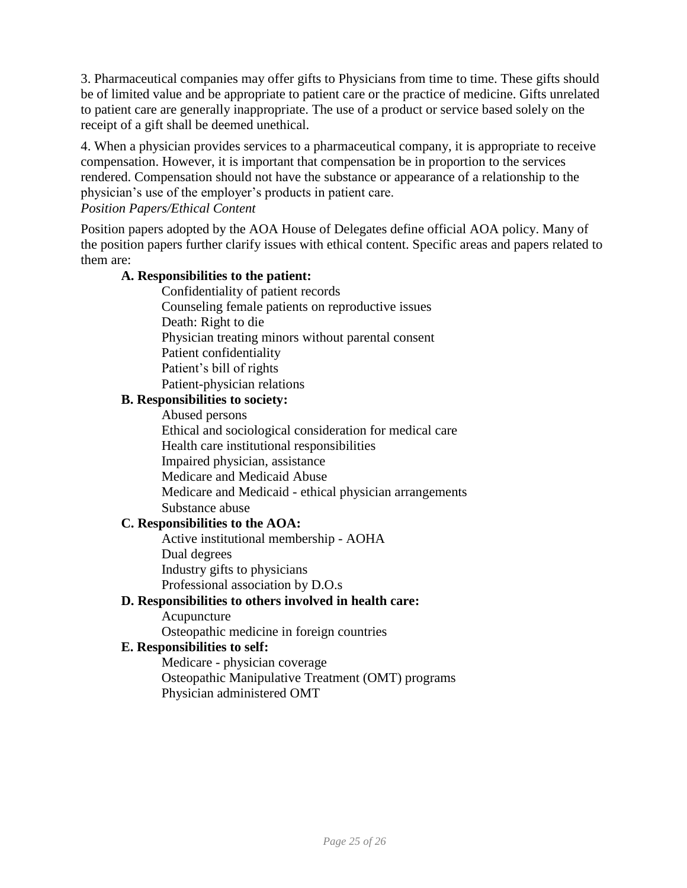3. Pharmaceutical companies may offer gifts to Physicians from time to time. These gifts should be of limited value and be appropriate to patient care or the practice of medicine. Gifts unrelated to patient care are generally inappropriate. The use of a product or service based solely on the receipt of a gift shall be deemed unethical.

4. When a physician provides services to a pharmaceutical company, it is appropriate to receive compensation. However, it is important that compensation be in proportion to the services rendered. Compensation should not have the substance or appearance of a relationship to the physician's use of the employer's products in patient care.

*Position Papers/Ethical Content*

Position papers adopted by the AOA House of Delegates define official AOA policy. Many of the position papers further clarify issues with ethical content. Specific areas and papers related to them are:

### **A. Responsibilities to the patient:**

Confidentiality of patient records Counseling female patients on reproductive issues Death: Right to die Physician treating minors without parental consent Patient confidentiality Patient's bill of rights Patient-physician relations

#### **B. Responsibilities to society:**

Abused persons Ethical and sociological consideration for medical care Health care institutional responsibilities Impaired physician, assistance Medicare and Medicaid Abuse Medicare and Medicaid - ethical physician arrangements Substance abuse

#### **C. Responsibilities to the AOA:**

Active institutional membership - AOHA Dual degrees Industry gifts to physicians Professional association by D.O.s

#### **D. Responsibilities to others involved in health care:**

Acupuncture

Osteopathic medicine in foreign countries

#### **E. Responsibilities to self:**

Medicare - physician coverage Osteopathic Manipulative Treatment (OMT) programs Physician administered OMT